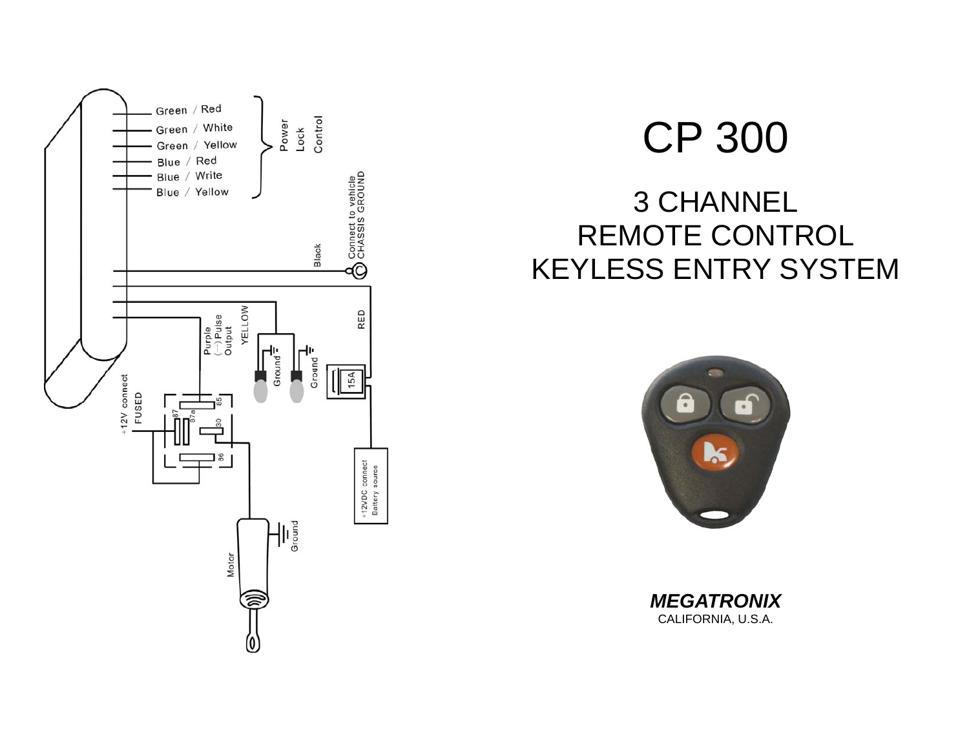

# CP 300

# 3 CHANNEL REMOTE CONTROL KEYLESS ENTRY SYSTEM



*MEGATRONIX*  CALIFORNIA, U.S.A.